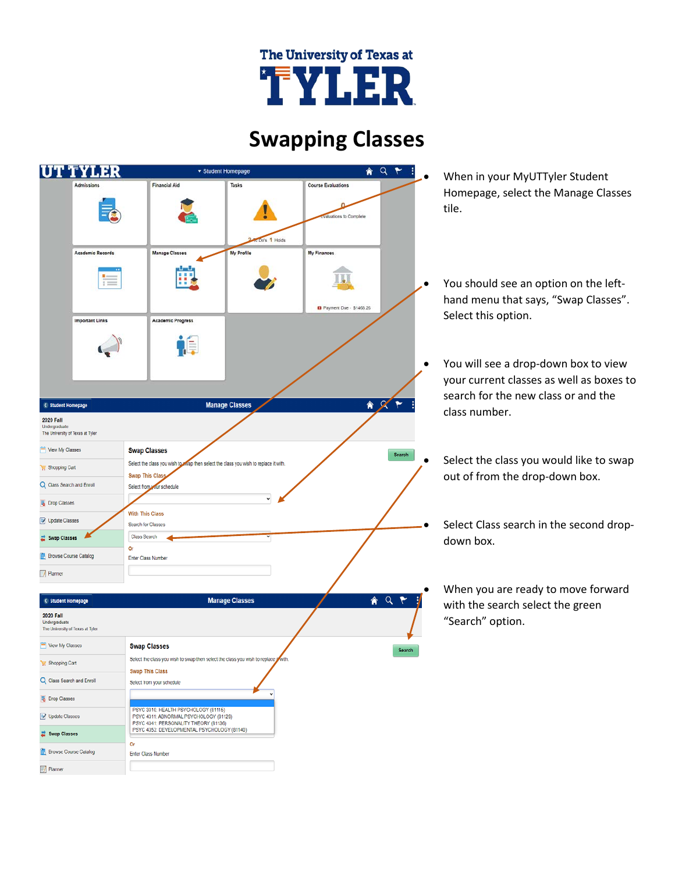## The University of Texas at TYLER

## **Swapping Classes**

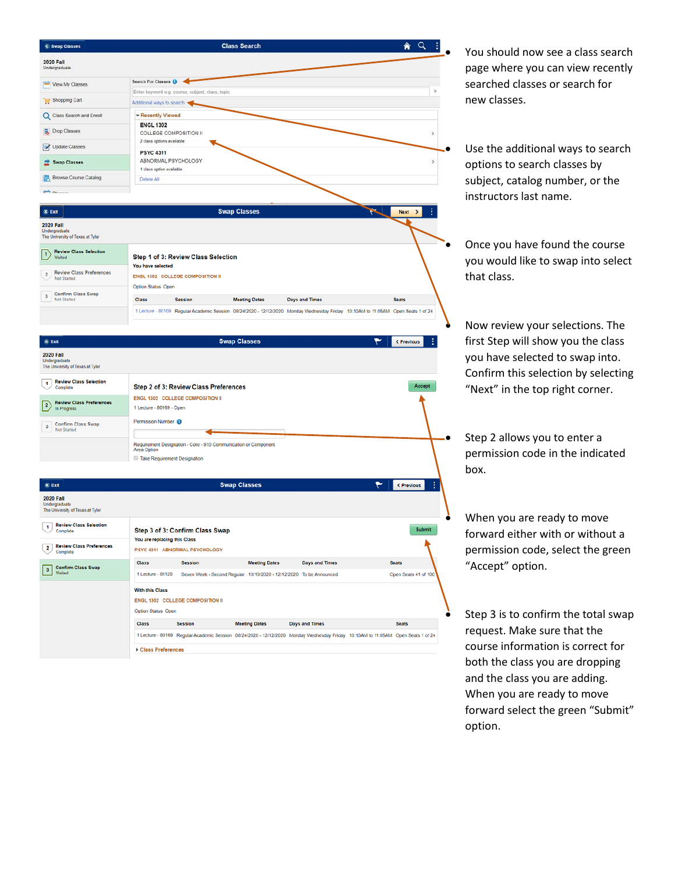

• You should now see a class search page where you can view recently searched classes or search for new classes.

Use the additional ways to search options to search classes by subject, catalog number, or the instructors last name.

• Once you have found the course you would like to swap into select that class.

• Now review your selections. The first Step will show you the class you have selected to swap into. Confirm this selection by selecting "Next" in the top right corner.

Step 2 allows you to enter a permission code in the indicated box.

When you are ready to move forward either with or without a permission code, select the green "Accept" option.

Step 3 is to confirm the total swap request. Make sure that the course information is correct for both the class you are dropping and the class you are adding. When you are ready to move forward select the green "Submit" option.